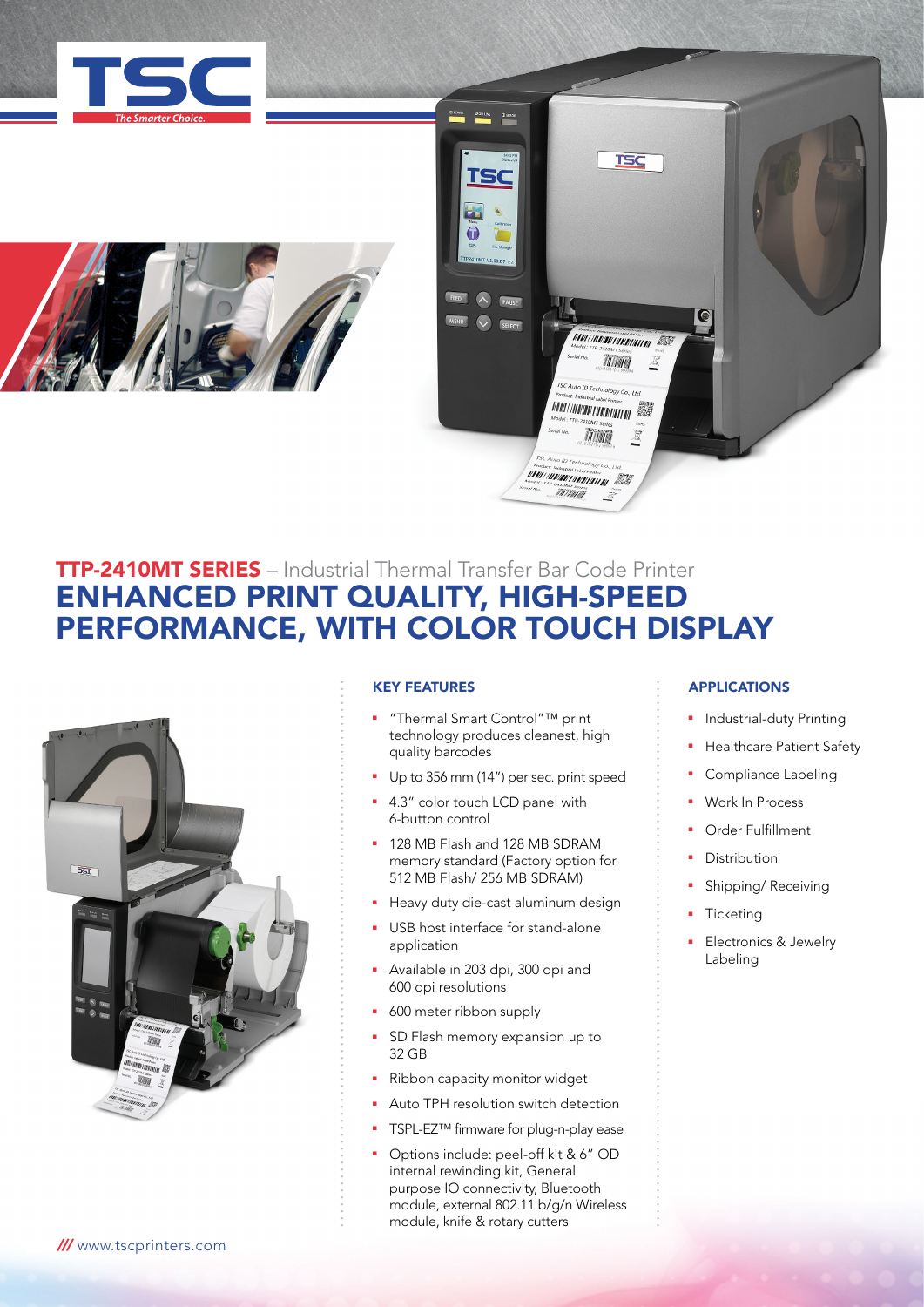





# TTP-2410MT SERIES – Industrial Thermal Transfer Bar Code Printer ENHANCED PRINT QUALITY, HIGH-SPEED PERFORMANCE, WITH COLOR TOUCH DISPLAY



## KEY FEATURES

- "Thermal Smart Control"™ print technology produces cleanest, high quality barcodes
- Up to 356 mm (14") per sec. print speed
- 4.3" color touch LCD panel with 6-button control
- **128 MB Flash and 128 MB SDRAM** memory standard (Factory option for 512 MB Flash/ 256 MB SDRAM)
- Heavy duty die-cast aluminum design
- USB host interface for stand-alone application
- <sup>n</sup> Available in 203 dpi, 300 dpi and 600 dpi resolutions
- **600** meter ribbon supply
- SD Flash memory expansion up to 32 GB
- Ribbon capacity monitor widget
- Auto TPH resolution switch detection
- TSPL-EZ™ firmware for plug-n-play ease
- Options include: peel-off kit & 6" OD internal rewinding kit, General purpose IO connectivity, Bluetooth module, external 802.11 b/g/n Wireless module, knife & rotary cutters

# APPLICATIONS

- <sup>n</sup> Industrial-duty Printing
- Healthcare Patient Safety
- **•** Compliance Labeling
- Work In Process
- Order Fulfillment
- Distribution
- Shipping/ Receiving
- **Ticketing**
- Electronics & Jewelry Labeling